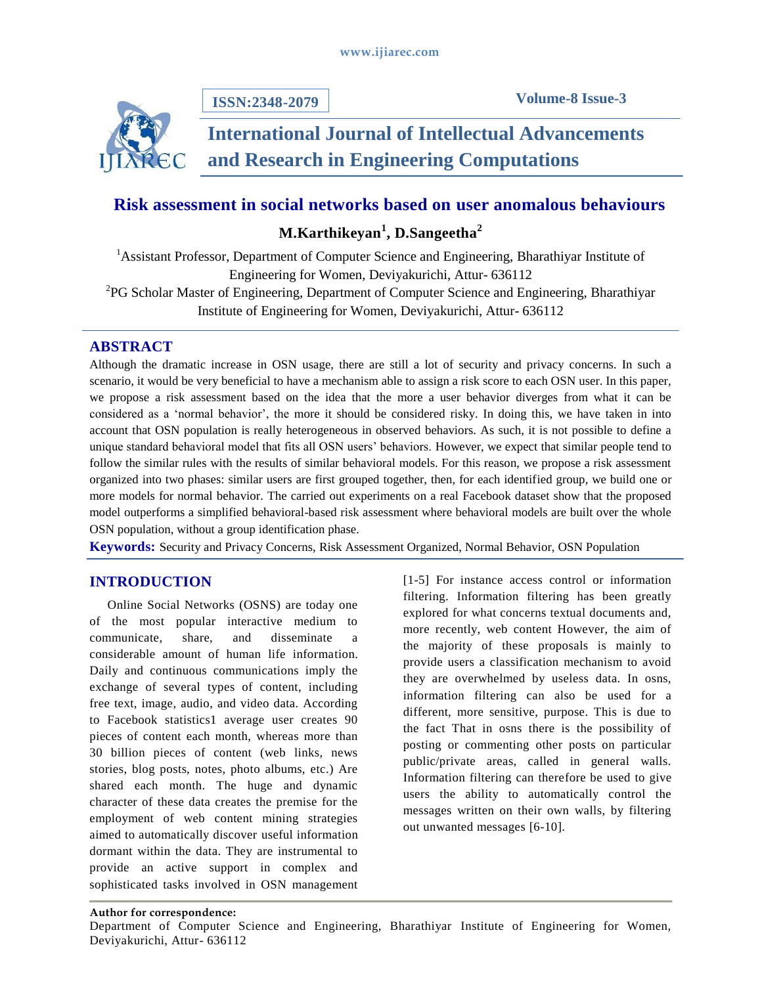

**ISSN:2348-2079**

**Volume-8 Issue-3**

# **International Journal of Intellectual Advancements and Research in Engineering Computations**

# **Risk assessment in social networks based on user anomalous behaviours**

# **M.Karthikeyan<sup>1</sup> , D.Sangeetha<sup>2</sup>**

<sup>1</sup>Assistant Professor, Department of Computer Science and Engineering, Bharathiyar Institute of Engineering for Women, Deviyakurichi, Attur- 636112

<sup>2</sup>PG Scholar Master of Engineering, Department of Computer Science and Engineering, Bharathiyar Institute of Engineering for Women, Deviyakurichi, Attur- 636112

# **ABSTRACT**

Although the dramatic increase in OSN usage, there are still a lot of security and privacy concerns. In such a scenario, it would be very beneficial to have a mechanism able to assign a risk score to each OSN user. In this paper, we propose a risk assessment based on the idea that the more a user behavior diverges from what it can be considered as a "normal behavior", the more it should be considered risky. In doing this, we have taken in into account that OSN population is really heterogeneous in observed behaviors. As such, it is not possible to define a unique standard behavioral model that fits all OSN users" behaviors. However, we expect that similar people tend to follow the similar rules with the results of similar behavioral models. For this reason, we propose a risk assessment organized into two phases: similar users are first grouped together, then, for each identified group, we build one or more models for normal behavior. The carried out experiments on a real Facebook dataset show that the proposed model outperforms a simplified behavioral-based risk assessment where behavioral models are built over the whole OSN population, without a group identification phase.

**Keywords:** Security and Privacy Concerns, Risk Assessment Organized, Normal Behavior, OSN Population

# **INTRODUCTION**

Online Social Networks (OSNS) are today one of the most popular interactive medium to communicate, share, and disseminate a considerable amount of human life information. Daily and continuous communications imply the exchange of several types of content, including free text, image, audio, and video data. According to Facebook statistics1 average user creates 90 pieces of content each month, whereas more than 30 billion pieces of content (web links, news stories, blog posts, notes, photo albums, etc.) Are shared each month. The huge and dynamic character of these data creates the premise for the employment of web content mining strategies aimed to automatically discover useful information dormant within the data. They are instrumental to provide an active support in complex and sophisticated tasks involved in OSN management

[1-5] For instance access control or information filtering. Information filtering has been greatly explored for what concerns textual documents and, more recently, web content However, the aim of the majority of these proposals is mainly to provide users a classification mechanism to avoid they are overwhelmed by useless data. In osns, information filtering can also be used for a different, more sensitive, purpose. This is due to the fact That in osns there is the possibility of posting or commenting other posts on particular public/private areas, called in general walls. Information filtering can therefore be used to give users the ability to automatically control the messages written on their own walls, by filtering out unwanted messages [6-10].

#### **Author for correspondence:**

Department of Computer Science and Engineering, Bharathiyar Institute of Engineering for Women, Deviyakurichi, Attur- 636112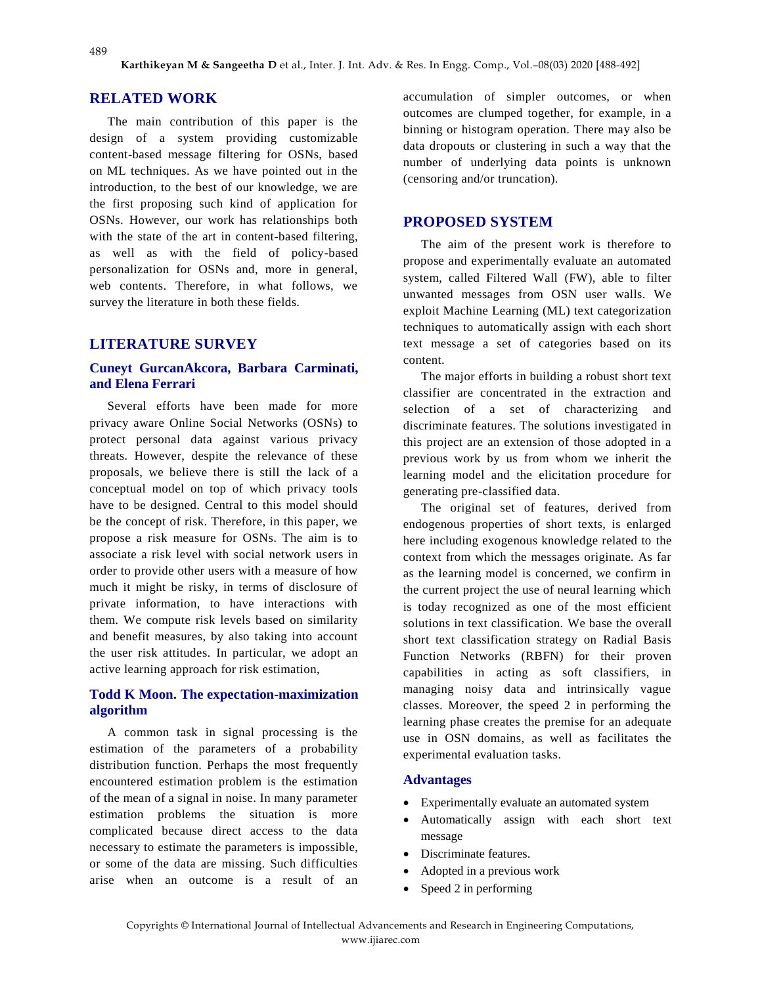# **RELATED WORK**

The main contribution of this paper is the design of a system providing customizable content-based message filtering for OSNs, based on ML techniques. As we have pointed out in the introduction, to the best of our knowledge, we are the first proposing such kind of application for OSNs. However, our work has relationships both with the state of the art in content-based filtering, as well as with the field of policy-based personalization for OSNs and, more in general, web contents. Therefore, in what follows, we survey the literature in both these fields.

### **LITERATURE SURVEY**

# **Cuneyt GurcanAkcora, Barbara Carminati, and Elena Ferrari**

Several efforts have been made for more privacy aware Online Social Networks (OSNs) to protect personal data against various privacy threats. However, despite the relevance of these proposals, we believe there is still the lack of a conceptual model on top of which privacy tools have to be designed. Central to this model should be the concept of risk. Therefore, in this paper, we propose a risk measure for OSNs. The aim is to associate a risk level with social network users in order to provide other users with a measure of how much it might be risky, in terms of disclosure of private information, to have interactions with them. We compute risk levels based on similarity and benefit measures, by also taking into account the user risk attitudes. In particular, we adopt an active learning approach for risk estimation,

# **Todd K Moon. The expectation-maximization algorithm**

A common task in signal processing is the estimation of the parameters of a probability distribution function. Perhaps the most frequently encountered estimation problem is the estimation of the mean of a signal in noise. In many parameter estimation problems the situation is more complicated because direct access to the data necessary to estimate the parameters is impossible, or some of the data are missing. Such difficulties arise when an outcome is a result of an

accumulation of simpler outcomes, or when outcomes are clumped together, for example, in a binning or histogram operation. There may also be data dropouts or clustering in such a way that the number of underlying data points is unknown (censoring and/or truncation).

# **PROPOSED SYSTEM**

The aim of the present work is therefore to propose and experimentally evaluate an automated system, called Filtered Wall (FW), able to filter unwanted messages from OSN user walls. We exploit Machine Learning (ML) text categorization techniques to automatically assign with each short text message a set of categories based on its content.

The major efforts in building a robust short text classifier are concentrated in the extraction and selection of a set of characterizing and discriminate features. The solutions investigated in this project are an extension of those adopted in a previous work by us from whom we inherit the learning model and the elicitation procedure for generating pre-classified data.

The original set of features, derived from endogenous properties of short texts, is enlarged here including exogenous knowledge related to the context from which the messages originate. As far as the learning model is concerned, we confirm in the current project the use of neural learning which is today recognized as one of the most efficient solutions in text classification. We base the overall short text classification strategy on Radial Basis Function Networks (RBFN) for their proven capabilities in acting as soft classifiers, in managing noisy data and intrinsically vague classes. Moreover, the speed 2 in performing the learning phase creates the premise for an adequate use in OSN domains, as well as facilitates the experimental evaluation tasks.

#### **Advantages**

- Experimentally evaluate an automated system
- Automatically assign with each short text message
- Discriminate features.
- Adopted in a previous work
- Speed 2 in performing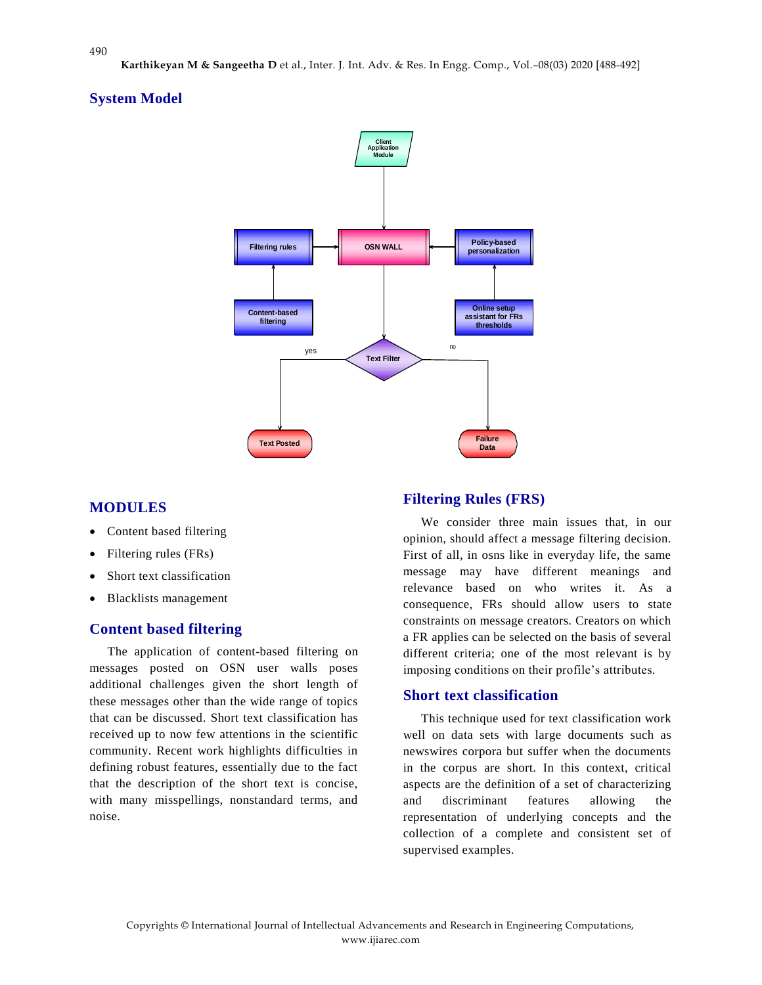### **System Model**



### **MODULES**

- Content based filtering
- Filtering rules (FRs)
- Short text classification
- Blacklists management

# **Content based filtering**

The application of content-based filtering on messages posted on OSN user walls poses additional challenges given the short length of these messages other than the wide range of topics that can be discussed. Short text classification has received up to now few attentions in the scientific community. Recent work highlights difficulties in defining robust features, essentially due to the fact that the description of the short text is concise, with many misspellings, nonstandard terms, and noise.

# **Filtering Rules (FRS)**

We consider three main issues that, in our opinion, should affect a message filtering decision. First of all, in osns like in everyday life, the same message may have different meanings and relevance based on who writes it. As a consequence, FRs should allow users to state constraints on message creators. Creators on which a FR applies can be selected on the basis of several different criteria; one of the most relevant is by imposing conditions on their profile"s attributes.

#### **Short text classification**

This technique used for text classification work well on data sets with large documents such as newswires corpora but suffer when the documents in the corpus are short. In this context, critical aspects are the definition of a set of characterizing and discriminant features allowing the representation of underlying concepts and the collection of a complete and consistent set of supervised examples.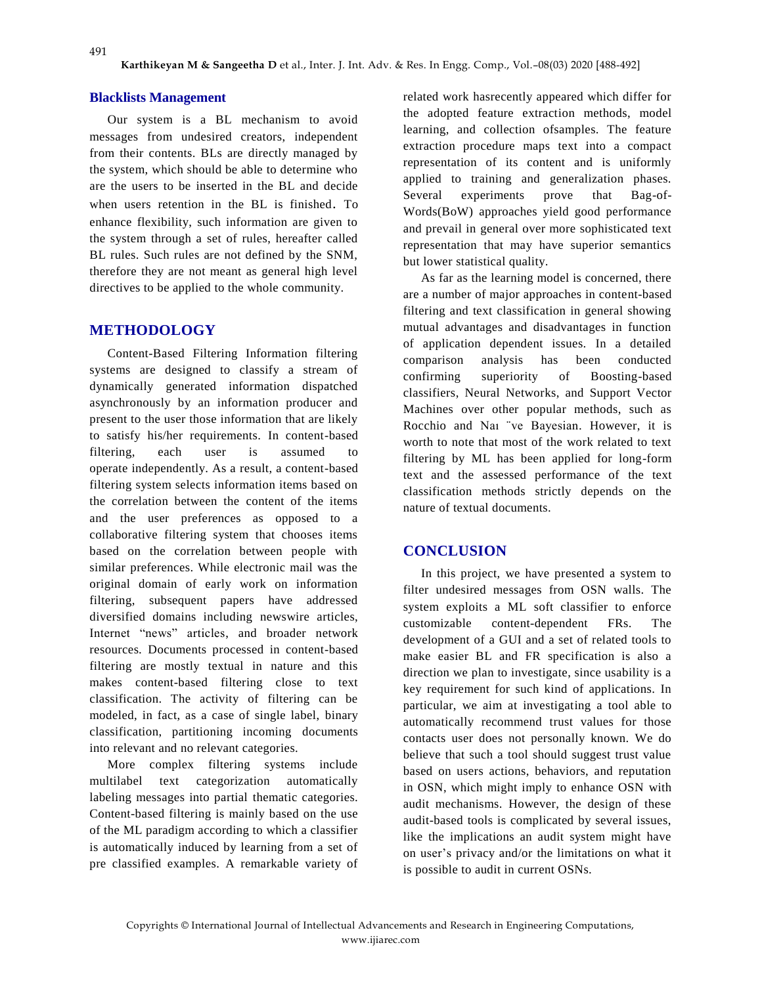#### **Blacklists Management**

Our system is a BL mechanism to avoid messages from undesired creators, independent from their contents. BLs are directly managed by the system, which should be able to determine who are the users to be inserted in the BL and decide when users retention in the BL is finished. To enhance flexibility, such information are given to the system through a set of rules, hereafter called BL rules. Such rules are not defined by the SNM, therefore they are not meant as general high level directives to be applied to the whole community.

#### **METHODOLOGY**

Content-Based Filtering Information filtering systems are designed to classify a stream of dynamically generated information dispatched asynchronously by an information producer and present to the user those information that are likely to satisfy his/her requirements. In content-based filtering, each user is assumed to operate independently. As a result, a content-based filtering system selects information items based on the correlation between the content of the items and the user preferences as opposed to a collaborative filtering system that chooses items based on the correlation between people with similar preferences. While electronic mail was the original domain of early work on information filtering, subsequent papers have addressed diversified domains including newswire articles, Internet "news" articles, and broader network resources. Documents processed in content-based filtering are mostly textual in nature and this makes content-based filtering close to text classification. The activity of filtering can be modeled, in fact, as a case of single label, binary classification, partitioning incoming documents into relevant and no relevant categories.

More complex filtering systems include multilabel text categorization automatically labeling messages into partial thematic categories. Content-based filtering is mainly based on the use of the ML paradigm according to which a classifier is automatically induced by learning from a set of pre classified examples. A remarkable variety of related work hasrecently appeared which differ for the adopted feature extraction methods, model learning, and collection ofsamples. The feature extraction procedure maps text into a compact representation of its content and is uniformly applied to training and generalization phases. Several experiments prove that Bag-of-Words(BoW) approaches yield good performance and prevail in general over more sophisticated text representation that may have superior semantics but lower statistical quality.

As far as the learning model is concerned, there are a number of major approaches in content-based filtering and text classification in general showing mutual advantages and disadvantages in function of application dependent issues. In a detailed comparison analysis has been conducted confirming superiority of Boosting-based classifiers, Neural Networks, and Support Vector Machines over other popular methods, such as Rocchio and Naı ¨ve Bayesian. However, it is worth to note that most of the work related to text filtering by ML has been applied for long-form text and the assessed performance of the text classification methods strictly depends on the nature of textual documents.

#### **CONCLUSION**

In this project, we have presented a system to filter undesired messages from OSN walls. The system exploits a ML soft classifier to enforce customizable content-dependent FRs. The development of a GUI and a set of related tools to make easier BL and FR specification is also a direction we plan to investigate, since usability is a key requirement for such kind of applications. In particular, we aim at investigating a tool able to automatically recommend trust values for those contacts user does not personally known. We do believe that such a tool should suggest trust value based on users actions, behaviors, and reputation in OSN, which might imply to enhance OSN with audit mechanisms. However, the design of these audit-based tools is complicated by several issues, like the implications an audit system might have on user"s privacy and/or the limitations on what it is possible to audit in current OSNs.